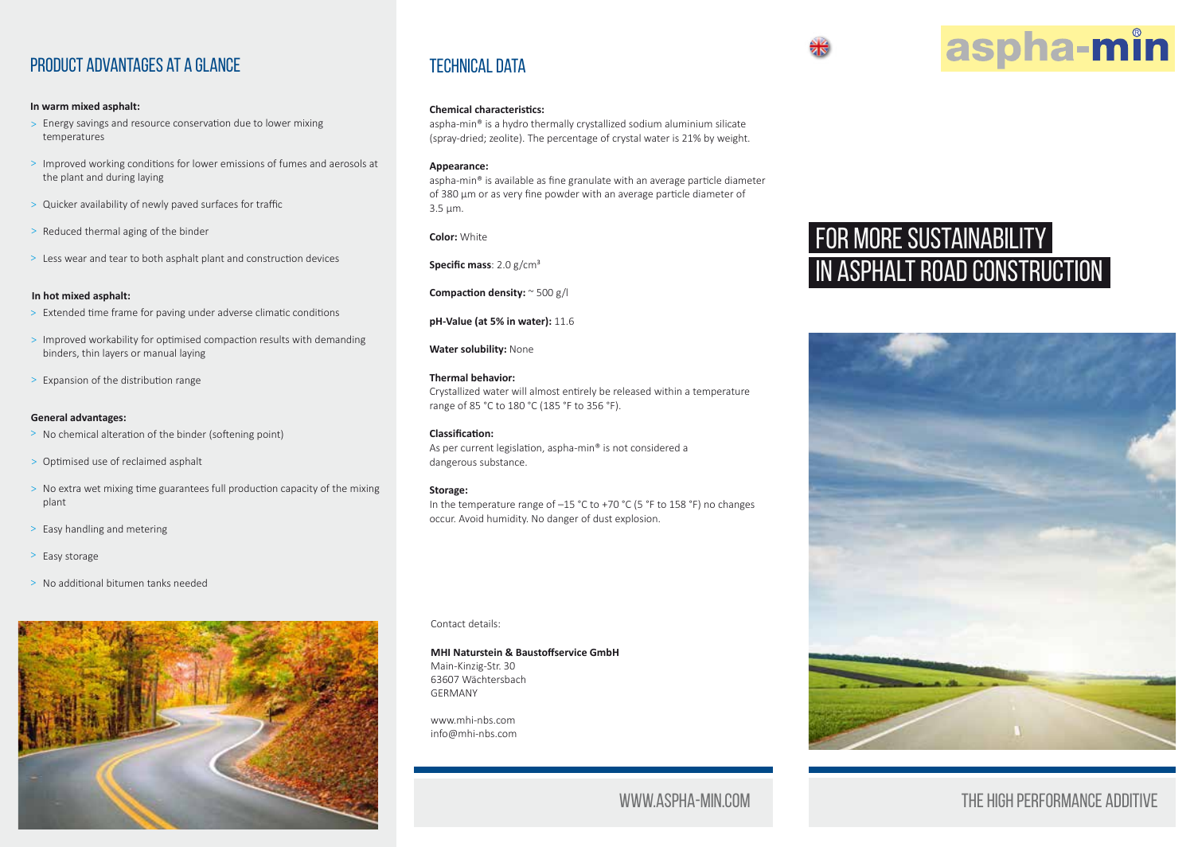

#### **In warm mixed asphalt:**

- Energy savings and resource conservation due to lower mixing > temperatures
- > Improved working conditions for lower emissions of fumes and aerosols at the plant and during laying
- Quicker availability of newly paved surfaces for traffic >
- > Reduced thermal aging of the binder
- > Less wear and tear to both asphalt plant and construction devices

#### **In hot mixed asphalt:**

- > Extended time frame for paving under adverse climatic conditions
- > Improved workability for optimised compaction results with demanding binders, thin layers or manual laying
- > Expansion of the distribution range

#### **General advantages:**

- > No chemical alteration of the binder (softening point)
- Optimised use of reclaimed asphalt >
- > No extra wet mixing time guarantees full production capacity of the mixing plant
- > Easy handling and metering
- > Easy storage
- > No additional bitumen tanks needed



## **TECHNICAL DATA**

#### **Chemical characteristics:**

aspha-min® is a hydro thermally crystallized sodium aluminium silicate (spray-dried; zeolite). The percentage of crystal water is 21% by weight.

#### **Appearance:**

aspha-min® is available as fine granulate with an average particle diameter of 380 µm or as very fine powder with an average particle diameter of 3.5 µm.

**Color:** White

**Specific mass**: 2.0 g/cm³

**Compaction density:** ~ 500 g/l

#### **pH-Value (at 5% in water):** 11.6

**Water solubility:** None

#### **Thermal behavior:**

Crystallized water will almost entirely be released within a temperature range of 85 °C to 180 °C (185 °F to 356 °F).

#### **Classification:**

As per current legislation, aspha-min® is not considered a dangerous substance.

#### **Storage:**

In the temperature range of –15 °C to +70 °C (5 °F to 158 °F) no changes occur. Avoid humidity. No danger of dust explosion.

Contact details:

#### **MHI Naturstein & Baustoffservice GmbH**

Main-Kinzig-Str. 30 63607 Wächtersbach GERMANY

www.mhi-nbs.com info@mhi-nbs.com

## www.aspha-min.com

## FOR MORE SUSTAINABILITY IN ASPHALT ROAD CONSTRUCTION

aspha-min



## The high performance additive